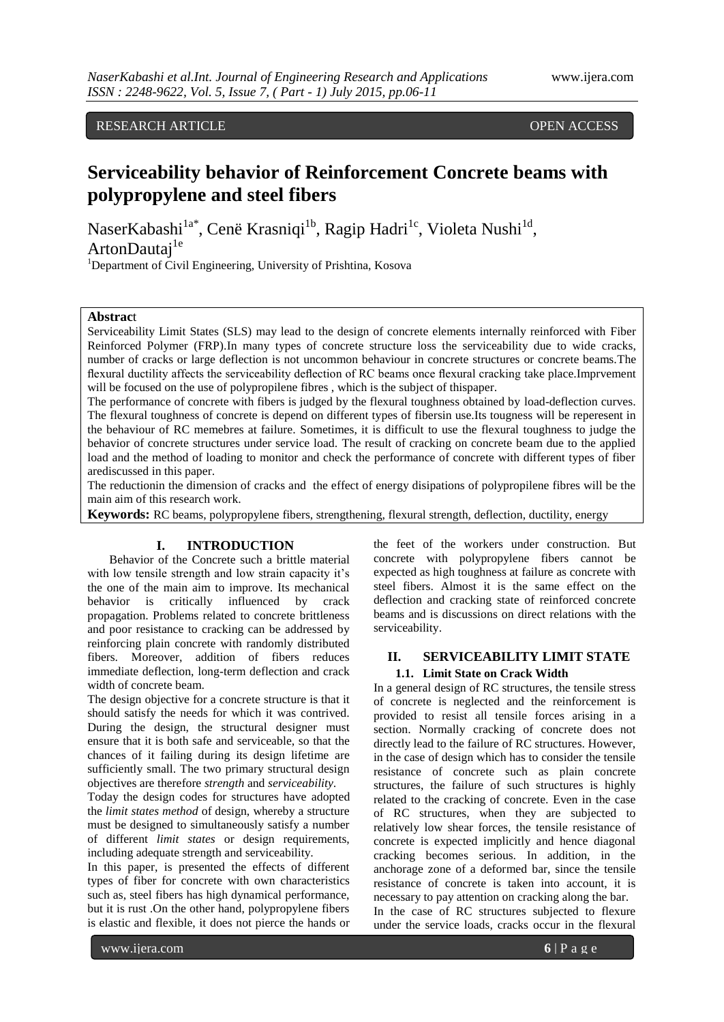### RESEARCH ARTICLE **CONSERVERS** OPEN ACCESS

# **Serviceability behavior of Reinforcement Concrete beams with polypropylene and steel fibers**

NaserKabashi<sup>la\*</sup>, Cenë Krasniqi<sup>lb</sup>, Ragip Hadri<sup>lc</sup>, Violeta Nushi<sup>ld</sup>, ArtonDautai<sup>1e</sup>

<sup>1</sup>Department of Civil Engineering, University of Prishtina, Kosova

#### **Abstrac**t

Serviceability Limit States (SLS) may lead to the design of concrete elements internally reinforced with Fiber Reinforced Polymer (FRP).In many types of concrete structure loss the serviceability due to wide cracks, number of cracks or large deflection is not uncommon behaviour in concrete structures or concrete beams.The flexural ductility affects the serviceability deflection of RC beams once flexural cracking take place.Imprvement will be focused on the use of polypropilene fibres, which is the subject of thispaper.

The performance of concrete with fibers is judged by the flexural toughness obtained by load-deflection curves. The flexural toughness of concrete is depend on different types of fibersin use.Its tougness will be reperesent in the behaviour of RC memebres at failure. Sometimes, it is difficult to use the flexural toughness to judge the behavior of concrete structures under service load. The result of cracking on concrete beam due to the applied load and the method of loading to monitor and check the performance of concrete with different types of fiber arediscussed in this paper.

The reductionin the dimension of cracks and the effect of energy disipations of polypropilene fibres will be the main aim of this research work.

**Keywords:** RC beams, polypropylene fibers, strengthening, flexural strength, deflection, ductility, energy

#### **I. INTRODUCTION**

Behavior of the Concrete such a brittle material with low tensile strength and low strain capacity it's the one of the main aim to improve. Its mechanical behavior is critically influenced by crack propagation. Problems related to concrete brittleness and poor resistance to cracking can be addressed by reinforcing plain concrete with randomly distributed fibers. Moreover, addition of fibers reduces immediate deflection, long-term deflection and crack width of concrete beam.

The design objective for a concrete structure is that it should satisfy the needs for which it was contrived. During the design, the structural designer must ensure that it is both safe and serviceable, so that the chances of it failing during its design lifetime are sufficiently small. The two primary structural design objectives are therefore *strength* and *serviceability*.

Today the design codes for structures have adopted the *limit states method* of design, whereby a structure must be designed to simultaneously satisfy a number of different *limit states* or design requirements, including adequate strength and serviceability.

In this paper, is presented the effects of different types of fiber for concrete with own characteristics such as, steel fibers has high dynamical performance, but it is rust .On the other hand, polypropylene fibers is elastic and flexible, it does not pierce the hands or the feet of the workers under construction. But concrete with polypropylene fibers cannot be expected as high toughness at failure as concrete with steel fibers. Almost it is the same effect on the deflection and cracking state of reinforced concrete beams and is discussions on direct relations with the serviceability.

# **II. SERVICEABILITY LIMIT STATE**

#### **1.1. Limit State on Crack Width**

In a general design of RC structures, the tensile stress of concrete is neglected and the reinforcement is provided to resist all tensile forces arising in a section. Normally cracking of concrete does not directly lead to the failure of RC structures. However, in the case of design which has to consider the tensile resistance of concrete such as plain concrete structures, the failure of such structures is highly related to the cracking of concrete. Even in the case of RC structures, when they are subjected to relatively low shear forces, the tensile resistance of concrete is expected implicitly and hence diagonal cracking becomes serious. In addition, in the anchorage zone of a deformed bar, since the tensile resistance of concrete is taken into account, it is necessary to pay attention on cracking along the bar. In the case of RC structures subjected to flexure under the service loads, cracks occur in the flexural

www.ijera.com **6** | P a g e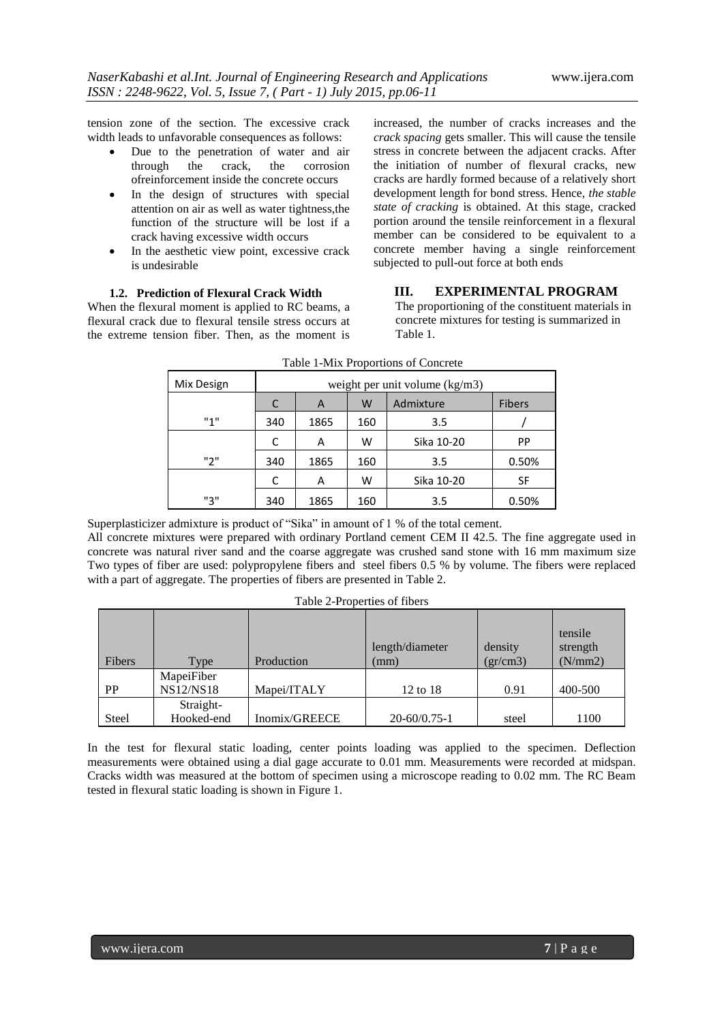tension zone of the section. The excessive crack width leads to unfavorable consequences as follows:

- Due to the penetration of water and air through the crack, the corrosion ofreinforcement inside the concrete occurs
- In the design of structures with special attention on air as well as water tightness,the function of the structure will be lost if a crack having excessive width occurs
- In the aesthetic view point, excessive crack is undesirable

#### **1.2. Prediction of Flexural Crack Width**

When the flexural moment is applied to RC beams, a flexural crack due to flexural tensile stress occurs at the extreme tension fiber. Then, as the moment is

increased, the number of cracks increases and the *crack spacing* gets smaller. This will cause the tensile stress in concrete between the adjacent cracks. After the initiation of number of flexural cracks, new cracks are hardly formed because of a relatively short development length for bond stress. Hence, *the stable state of cracking* is obtained. At this stage, cracked portion around the tensile reinforcement in a flexural member can be considered to be equivalent to a concrete member having a single reinforcement subjected to pull-out force at both ends

#### **III. EXPERIMENTAL PROGRAM**

The proportioning of the constituent materials in concrete mixtures for testing is summarized in Table 1.

| Mix Design | weight per unit volume $(kg/m3)$ |      |     |            |               |
|------------|----------------------------------|------|-----|------------|---------------|
|            | C                                | A    | W   | Admixture  | <b>Fibers</b> |
| "1"        | 340                              | 1865 | 160 | 3.5        |               |
|            | C                                | A    | w   | Sika 10-20 | <b>PP</b>     |
| "2"        | 340                              | 1865 | 160 | 3.5        | 0.50%         |
|            | C                                | A    | w   | Sika 10-20 | SF            |
| "3"        | 340                              | 1865 | 160 | 3.5        | 0.50%         |

Table 1-Mix Proportions of Concrete

Superplasticizer admixture is product of "Sika" in amount of 1 % of the total cement.

All concrete mixtures were prepared with ordinary Portland cement CEM II 42.5. The fine aggregate used in concrete was natural river sand and the coarse aggregate was crushed sand stone with 16 mm maximum size Two types of fiber are used: polypropylene fibers and steel fibers 0.5 % by volume. The fibers were replaced with a part of aggregate. The properties of fibers are presented in Table 2.

| Table 2-Properties of fibers |  |
|------------------------------|--|
|                              |  |

|              |                  |               | length/diameter    | density | tensile<br>strength |
|--------------|------------------|---------------|--------------------|---------|---------------------|
| Fibers       | Type             | Production    | (mm)               | gr/cm3) | (N/mm 2)            |
|              | MapeiFiber       |               |                    |         |                     |
| <b>PP</b>    | <b>NS12/NS18</b> | Mapei/ITALY   | 12 to 18           | 0.91    | 400-500             |
|              | Straight-        |               |                    |         |                     |
| <b>Steel</b> | Hooked-end       | Inomix/GREECE | $20 - 60/0.75 - 1$ | steel   | 1100                |

In the test for flexural static loading, center points loading was applied to the specimen. Deflection measurements were obtained using a dial gage accurate to 0.01 mm. Measurements were recorded at midspan. Cracks width was measured at the bottom of specimen using a microscope reading to 0.02 mm. The RC Beam tested in flexural static loading is shown in Figure 1.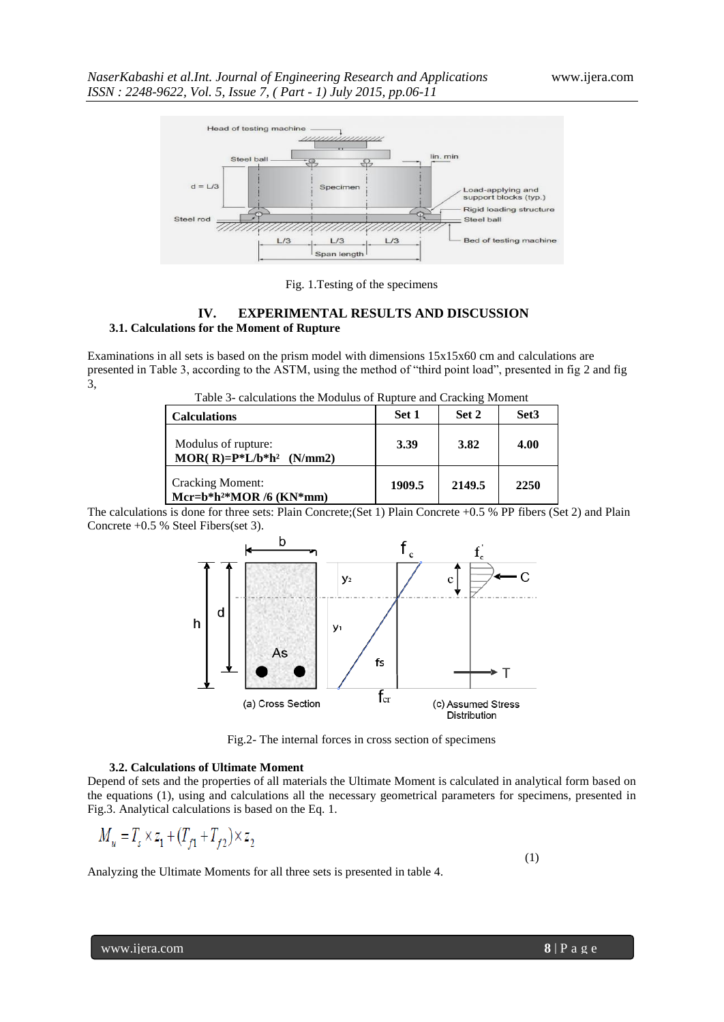

Fig. 1.Testing of the specimens

#### **IV. EXPERIMENTAL RESULTS AND DISCUSSION 3.1. Calculations for the Moment of Rupture**

Examinations in all sets is based on the prism model with dimensions 15x15x60 cm and calculations are presented in Table 3, according to the ASTM, using the method of "third point load", presented in fig 2 and fig 3,

Table 3- calculations the Modulus of Rupture and Cracking Moment

| <b>Calculations</b>                                             | Set 1  | Set 2  | Set <sub>3</sub> |
|-----------------------------------------------------------------|--------|--------|------------------|
| Modulus of rupture:<br>MOR(R)= $P^*L/b^*h^2$ (N/mm2)            | 3.39   | 3.82   | 4.00             |
| <b>Cracking Moment:</b><br>Mcr=b*h <sup>2*</sup> MOR /6 (KN*mm) | 1909.5 | 2149.5 | 2250             |

The calculations is done for three sets: Plain Concrete;(Set 1) Plain Concrete +0.5 % PP fibers (Set 2) and Plain Concrete +0.5 % Steel Fibers(set 3).



Fig.2- The internal forces in cross section of specimens

#### **3.2. Calculations of Ultimate Moment**

Depend of sets and the properties of all materials the Ultimate Moment is calculated in analytical form based on the equations (1), using and calculations all the necessary geometrical parameters for specimens, presented in Fig.3. Analytical calculations is based on the Eq. 1.

$$
M_u=T_s\times z_1+(T_{f1}+T_{f2})\times z_2
$$

Analyzing the Ultimate Moments for all three sets is presented in table 4.

(1)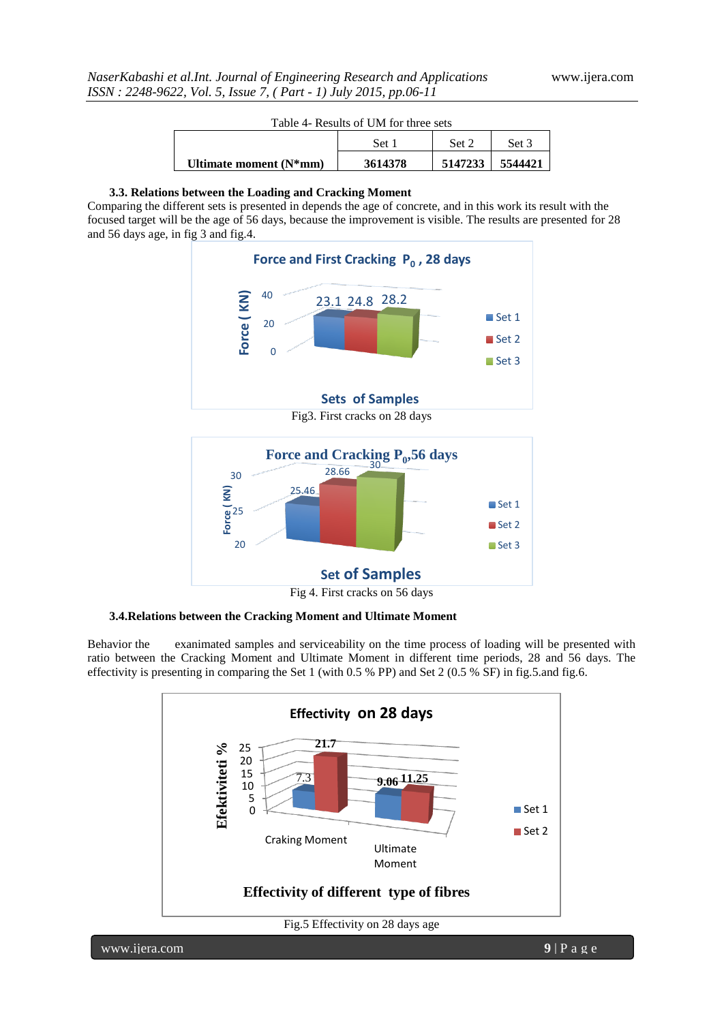| Table 4- Results of UM for three sets |  |  |  |  |
|---------------------------------------|--|--|--|--|
|---------------------------------------|--|--|--|--|

|                           | Set     | Set 2   | Set 3   |
|---------------------------|---------|---------|---------|
| Ultimate moment $(N^*mm)$ | 3614378 | 5147233 | 5544421 |

#### **3.3. Relations between the Loading and Cracking Moment**

Comparing the different sets is presented in depends the age of concrete, and in this work its result with the focused target will be the age of 56 days, because the improvement is visible. The results are presented for 28 and 56 days age, in fig 3 and fig.4.



Fig 4. First cracks on 56 days

**3.4.Relations between the Cracking Moment and Ultimate Moment**

Behavior the exanimated samples and serviceability on the time process of loading will be presented with ratio between the Cracking Moment and Ultimate Moment in different time periods, 28 and 56 days. The effectivity is presenting in comparing the Set 1 (with 0.5 % PP) and Set 2 (0.5 % SF) in fig.5.and fig.6.



www.ijera.com **9** | P a g e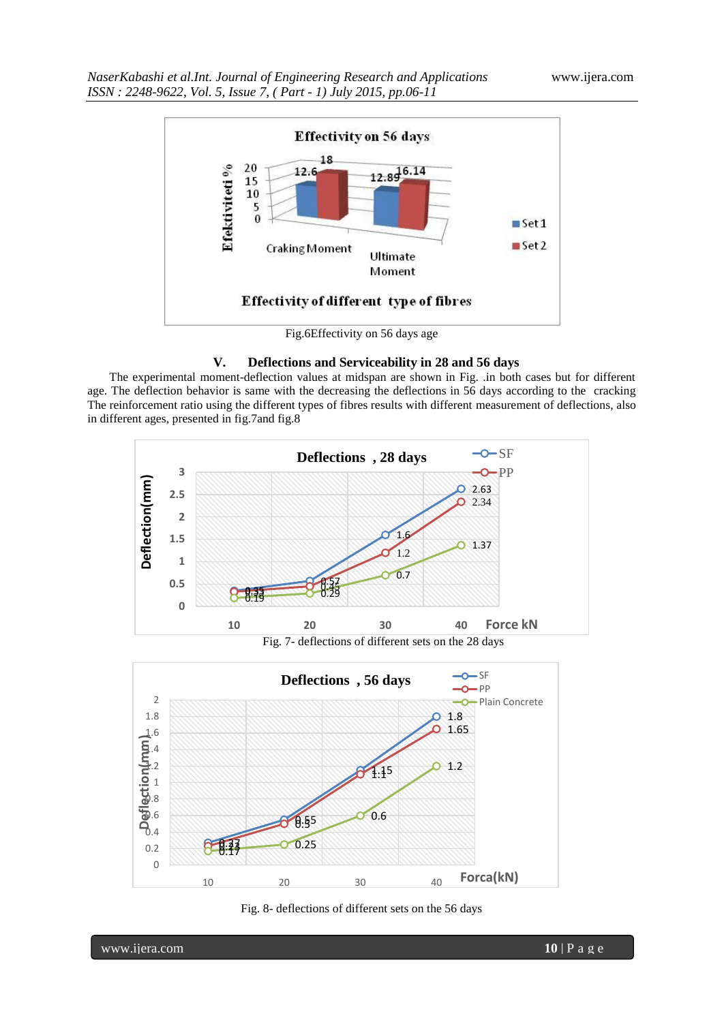

Fig.6Effectivity on 56 days age

#### **V. Deflections and Serviceability in 28 and 56 days**

The experimental moment-deflection values at midspan are shown in Fig. .in both cases but for different age. The deflection behavior is same with the decreasing the deflections in 56 days according to the cracking The reinforcement ratio using the different types of fibres results with different measurement of deflections, also in different ages, presented in fig.7and fig.8



Fig. 7- deflections of different sets on the 28 days